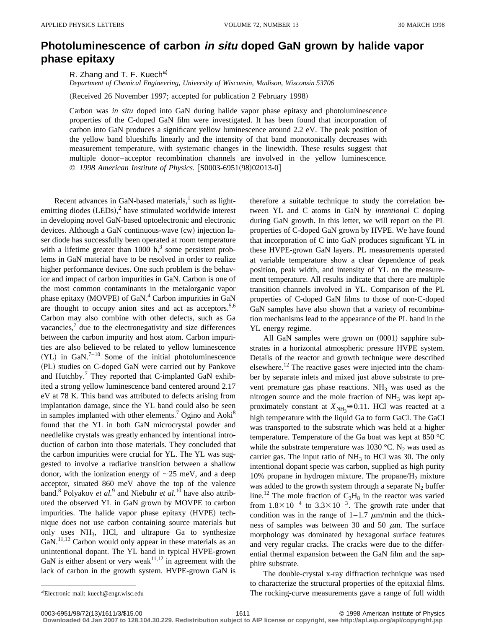## **Photoluminescence of carbon in situ doped GaN grown by halide vapor phase epitaxy**

R. Zhang and T. F. Kuech<sup>a)</sup>

*Department of Chemical Engineering, University of Wisconsin, Madison, Wisconsin 53706*

(Received 26 November 1997; accepted for publication 2 February 1998)

Carbon was *in situ* doped into GaN during halide vapor phase epitaxy and photoluminescence properties of the C-doped GaN film were investigated. It has been found that incorporation of carbon into GaN produces a significant yellow luminescence around 2.2 eV. The peak position of the yellow band blueshifts linearly and the intensity of that band monotonically decreases with measurement temperature, with systematic changes in the linewidth. These results suggest that multiple donor–acceptor recombination channels are involved in the yellow luminescence. © 1998 American Institute of Physics. [S0003-6951(98)02013-0]

Recent advances in GaN-based materials, $<sup>1</sup>$  such as light-</sup> emitting diodes  $(LEDs)$ ,<sup>2</sup> have stimulated worldwide interest in developing novel GaN-based optoelectronic and electronic devices. Although a GaN continuous-wave  $(cw)$  injection laser diode has successfully been operated at room temperature with a lifetime greater than  $1000 \text{ h}$ ,<sup>3</sup> some persistent problems in GaN material have to be resolved in order to realize higher performance devices. One such problem is the behavior and impact of carbon impurities in GaN. Carbon is one of the most common contaminants in the metalorganic vapor phase epitaxy (MOVPE) of GaN. $4$  Carbon impurities in GaN are thought to occupy anion sites and act as acceptors.<sup>5,6</sup> Carbon may also combine with other defects, such as Ga vacancies, $\frac{7}{7}$  due to the electronegativity and size differences between the carbon impurity and host atom. Carbon impurities are also believed to be related to yellow luminescence (YL) in GaN.<sup>7–10</sup> Some of the initial photoluminescence (PL) studies on C-doped GaN were carried out by Pankove and Hutchby.<sup>7</sup> They reported that C-implanted GaN exhibited a strong yellow luminescence band centered around 2.17 eV at 78 K. This band was attributed to defects arising from implantation damage, since the YL band could also be seen in samples implanted with other elements.<sup>7</sup> Ogino and Aoki<sup>8</sup> found that the YL in both GaN microcrystal powder and needlelike crystals was greatly enhanced by intentional introduction of carbon into those materials. They concluded that the carbon impurities were crucial for YL. The YL was suggested to involve a radiative transition between a shallow donor, with the ionization energy of  $\sim$ 25 meV, and a deep acceptor, situated 860 meV above the top of the valence band.<sup>8</sup> Polyakov *et al.*<sup>9</sup> and Niebuhr *et al.*<sup>10</sup> have also attributed the observed YL in GaN grown by MOVPE to carbon impurities. The halide vapor phase epitaxy (HVPE) technique does not use carbon containing source materials but only uses  $NH<sub>3</sub>$ , HCl, and ultrapure Ga to synthesize  $GaN$ <sup>11,12</sup> Carbon would only appear in these materials as an unintentional dopant. The YL band in typical HVPE-grown GaN is either absent or very weak<sup>11,12</sup> in agreement with the lack of carbon in the growth system. HVPE-grown GaN is

therefore a suitable technique to study the correlation between YL and C atoms in GaN by *intentional* C doping during GaN growth. In this letter, we will report on the PL properties of C-doped GaN grown by HVPE. We have found that incorporation of C into GaN produces significant YL in these HVPE-grown GaN layers. PL measurements operated at variable temperature show a clear dependence of peak position, peak width, and intensity of YL on the measurement temperature. All results indicate that there are multiple transition channels involved in YL. Comparison of the PL properties of C-doped GaN films to those of non-C-doped GaN samples have also shown that a variety of recombination mechanisms lead to the appearance of the PL band in the YL energy regime.

All GaN samples were grown on  $(0001)$  sapphire substrates in a horizontal atmospheric pressure HVPE system. Details of the reactor and growth technique were described elsewhere.<sup>12</sup> The reactive gases were injected into the chamber by separate inlets and mixed just above substrate to prevent premature gas phase reactions.  $NH<sub>3</sub>$  was used as the nitrogen source and the mole fraction of  $NH<sub>3</sub>$  was kept approximately constant at  $X_{NH_3} \cong 0.11$ . HCl was reacted at a high temperature with the liquid Ga to form GaCl. The GaCl was transported to the substrate which was held at a higher temperature. Temperature of the Ga boat was kept at 850 °C while the substrate temperature was 1030 °C. N<sub>2</sub> was used as carrier gas. The input ratio of  $NH<sub>3</sub>$  to HCl was 30. The only intentional dopant specie was carbon, supplied as high purity 10% propane in hydrogen mixture. The propane/ $H_2$  mixture was added to the growth system through a separate  $N_2$  buffer line.<sup>12</sup> The mole fraction of  $C_3H_8$  in the reactor was varied from  $1.8 \times 10^{-4}$  to  $3.3 \times 10^{-3}$ . The growth rate under that condition was in the range of  $1-1.7 \mu m/min$  and the thickness of samples was between 30 and 50  $\mu$ m. The surface morphology was dominated by hexagonal surface features and very regular cracks. The cracks were due to the differential thermal expansion between the GaN film and the sapphire substrate.

The double-crystal x-ray diffraction technique was used to characterize the structural properties of the epitaxial films. The rocking-curve measurements gave a range of full width

a)Electronic mail: kuech@engr.wisc.edu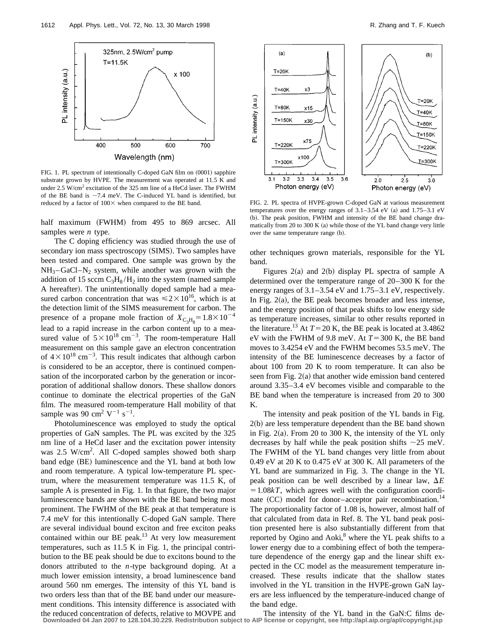

FIG. 1. PL spectrum of intentionally C-doped GaN film on  $(0001)$  sapphire substrate grown by HVPE. The measurement was operated at 11.5 K and under  $2.5 \text{ W/cm}^2$  excitation of the 325 nm line of a HeCd laser. The FWHM of the BE band is  $\sim$ 7.4 meV. The C-induced YL band is identified, but reduced by a factor of  $100\times$  when compared to the BE band. FIG. 2. PL spectra of HVPE-grown C-doped GaN at various measurement

half maximum (FWHM) from 495 to 869 arcsec. All samples were *n* type.

The C doping efficiency was studied through the use of secondary ion mass spectroscopy (SIMS). Two samples have been tested and compared. One sample was grown by the  $NH_{3}$ – GaCl–N<sub>2</sub> system, while another was grown with the addition of 15 sccm  $C_3H_8/H_2$  into the system (named sample A hereafter). The unintentionally doped sample had a measured carbon concentration that was  $\leq 2 \times 10^{16}$ , which is at the detection limit of the SIMS measurement for carbon. The presence of a propane mole fraction of  $X_{\text{C}_3\text{H}_8} = 1.8 \times 10^{-4}$ lead to a rapid increase in the carbon content up to a measured value of  $5 \times 10^{18}$  cm<sup>-3</sup>. The room-temperature Hall measurement on this sample gave an electron concentration of  $4 \times 10^{18}$  cm<sup>-3</sup>. This result indicates that although carbon is considered to be an acceptor, there is continued compensation of the incorporated carbon by the generation or incorporation of additional shallow donors. These shallow donors continue to dominate the electrical properties of the GaN film. The measured room-temperature Hall mobility of that sample was 90 cm<sup>2</sup>  $V^{-1}$  s<sup>-1</sup>.

Photoluminescence was employed to study the optical properties of GaN samples. The PL was excited by the 325 nm line of a HeCd laser and the excitation power intensity was 2.5 W/cm<sup>2</sup>. All C-doped samples showed both sharp band edge (BE) luminescence and the YL band at both low and room temperature. A typical low-temperature PL spectrum, where the measurement temperature was 11.5 K, of sample A is presented in Fig. 1. In that figure, the two major luminescence bands are shown with the BE band being most prominent. The FWHM of the BE peak at that temperature is 7.4 meV for this intentionally C-doped GaN sample. There are several individual bound exciton and free exciton peaks contained within our BE peak.<sup>13</sup> At very low measurement temperatures, such as 11.5 K in Fig. 1, the principal contribution to the BE peak should be due to excitons bound to the donors attributed to the *n*-type background doping. At a much lower emission intensity, a broad luminescence band around 560 nm emerges. The intensity of this YL band is two orders less than that of the BE band under our measurement conditions. This intensity difference is associated with the reduced concentration of defects, relative to MOVPE and



temperatures over the energy ranges of  $3.1-3.54$  eV (a) and  $1.75-3.1$  eV (b). The peak position, FWHM and intensity of the BE band change dramatically from 20 to 300 K  $(a)$  while those of the YL band change very little over the same temperature range (b).

other techniques grown materials, responsible for the YL band.

Figures  $2(a)$  and  $2(b)$  display PL spectra of sample A determined over the temperature range of 20–300 K for the energy ranges of 3.1–3.54 eV and 1.75–3.1 eV, respectively. In Fig.  $2(a)$ , the BE peak becomes broader and less intense, and the energy position of that peak shifts to low energy side as temperature increases, similar to other results reported in the literature.<sup>13</sup> At  $T=20$  K, the BE peak is located at 3.4862 eV with the FWHM of 9.8 meV. At  $T=300$  K, the BE band moves to 3.4254 eV and the FWHM becomes 53.5 meV. The intensity of the BE luminescence decreases by a factor of about 100 from 20 K to room temperature. It can also be seen from Fig.  $2(a)$  that another wide emission band centered around 3.35–3.4 eV becomes visible and comparable to the BE band when the temperature is increased from 20 to 300 K.

The intensity and peak position of the YL bands in Fig.  $2(b)$  are less temperature dependent than the BE band shown in Fig.  $2(a)$ . From 20 to 300 K, the intensity of the YL only decreases by half while the peak position shifts  $\sim$ 25 meV. The FWHM of the YL band changes very little from about 0.49 eV at 20 K to 0.475 eV at 300 K. All parameters of the YL band are summarized in Fig. 3. The change in the YL peak position can be well described by a linear law,  $\Delta E$  $=1.08kT$ , which agrees well with the configuration coordinate  $(CC)$  model for donor–acceptor pair recombination.<sup>14</sup> The proportionality factor of 1.08 is, however, almost half of that calculated from data in Ref. 8. The YL band peak position presented here is also substantially different from that reported by Ogino and Aoki, $8$  where the YL peak shifts to a lower energy due to a combining effect of both the temperature dependence of the energy gap and the linear shift expected in the CC model as the measurement temperature increased. These results indicate that the shallow states involved in the YL transition in the HVPE-grown GaN layers are less influenced by the temperature-induced change of the band edge.

The intensity of the YL band in the GaN:C films de-**Downloaded 04 Jan 2007 to 128.104.30.229. Redistribution subject to AIP license or copyright, see http://apl.aip.org/apl/copyright.jsp**